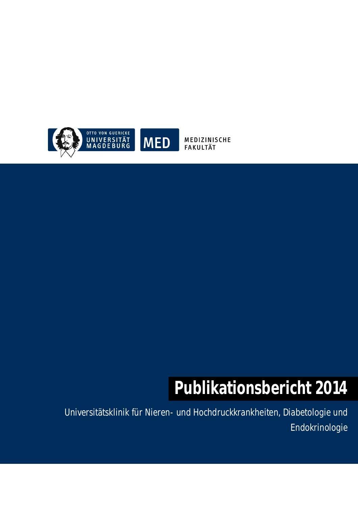

MEDIZINISCHE **FAKULTÄT** 

# **Publikationsbericht 2014**

Universitätsklinik für Nieren- und Hochdruckkrankheiten, Diabetologie und Endokrinologie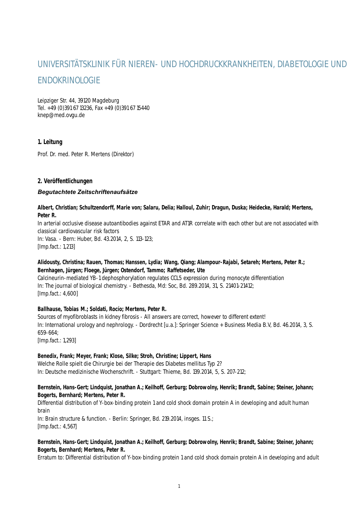# UNIVERSITÄTSKLINIK FÜR NIEREN- UND HOCHDRUCKKRANKHEITEN, DIABETOLOGIE UND ENDOKRINOLOGIE

Leipziger Str. 44, 39120 Magdeburg Tel. +49 (0)391 67 13236, Fax +49 (0)391 67 15440 knep@med.ovgu.de

# **1. Leitung**

Prof. Dr. med. Peter R. Mertens (Direktor)

# **2. Veröffentlichungen**

#### *Begutachtete Zeitschriftenaufsätze*

#### **Albert, Christian; Schultzendorff, Marie von; Salaru, Delia; Halloul, Zuhir; Dragun, Duska; Heidecke, Harald; Mertens, Peter R.**

In arterial occlusive disease autoantibodies against ETAR and AT1R correlate with each other but are not associated with classical cardiovascular risk factors

In: Vasa. - Bern: Huber, Bd. 43.2014, 2, S. 113-123; [Imp.fact.: 1,213]

#### **Alidousty, Christina; Rauen, Thomas; Hanssen, Lydia; Wang, Qiang; Alampour-Rajabi, Setareh; Mertens, Peter R.; Bernhagen, Jürgen; Floege, Jürgen; Ostendorf, Tammo; Raffetseder, Ute**

Calcineurin-mediated YB-1 dephosphorylation regulates CCL5 expression during monocyte differentiation In: The journal of biological chemistry. - Bethesda, Md: Soc, Bd. 289.2014, 31, S. 21401-21412; [Imp.fact.: 4,600]

#### **Ballhause, Tobias M.; Soldati, Rocío; Mertens, Peter R.**

Sources of myofibroblasts in kidney fibrosis - All answers are correct, however to different extent! In: International urology and nephrology. - Dordrecht [u.a.]: Springer Science + Business Media B.V, Bd. 46.2014, 3, S. 659-664;

[Imp.fact.: 1,293]

#### **Benedix, Frank; Meyer, Frank; Klose, Silke; Stroh, Christine; Lippert, Hans**

Welche Rolle spielt die Chirurgie bei der Therapie des Diabetes mellitus Typ 2? In: Deutsche medizinische Wochenschrift. - Stuttgart: Thieme, Bd. 139.2014, 5, S. 207-212;

# **Bernstein, Hans-Gert; Lindquist, Jonathan A.; Keilhoff, Gerburg; Dobrowolny, Henrik; Brandt, Sabine; Steiner, Johann; Bogerts, Bernhard; Mertens, Peter R.**

Differential distribution of Y-box-binding protein 1 and cold shock domain protein A in developing and adult human brain

In: Brain structure & function. - Berlin: Springer, Bd. 219.2014, insges. 11 S.; [Imp.fact.: 4,567]

#### **Bernstein, Hans-Gert; Lindquist, Jonathan A.; Keilhoff, Gerburg; Dobrowolny, Henrik; Brandt, Sabine; Steiner, Johann; Bogerts, Bernhard; Mertens, Peter R.**

Erratum to: Differential distribution of Y-box-binding protein 1 and cold shock domain protein A in developing and adult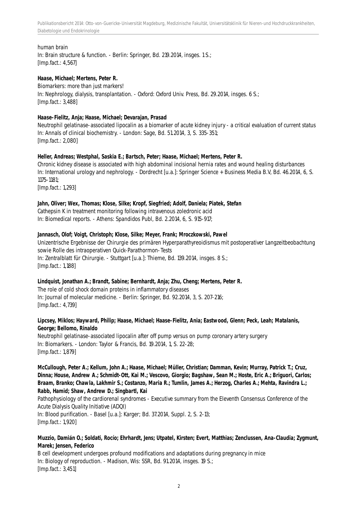Publikationsbericht 2014: Otto-von-Guericke-Universität Magdeburg, Medizinische Fakultät, Universitätsklinik für Nieren-und Hochdruckkrankheiten, Diabetologie und Endokrinologie

#### human brain

In: Brain structure & function. - Berlin: Springer, Bd. 219.2014, insges. 1 S.; [Imp.fact.: 4,567]

#### **Haase, Michael; Mertens, Peter R.**

Biomarkers: more than just markers! In: Nephrology, dialysis, transplantation. - Oxford: Oxford Univ. Press, Bd. 29.2014, insges. 6 S.; [Imp.fact.: 3,488]

#### **Haase-Fielitz, Anja; Haase, Michael; Devarajan, Prasad**

Neutrophil gelatinase-associated lipocalin as a biomarker of acute kidney injury - a critical evaluation of current status In: Annals of clinical biochemistry. - London: Sage, Bd. 51.2014, 3, S. 335-351; [Imp.fact.: 2,080]

#### **Heller, Andreas; Westphal, Saskia E.; Bartsch, Peter; Haase, Michael; Mertens, Peter R.**

Chronic kidney disease is associated with high abdominal incisional hernia rates and wound healing disturbances In: International urology and nephrology. - Dordrecht [u.a.]: Springer Science + Business Media B.V, Bd. 46.2014, 6, S. 1175-1181; [Imp.fact.: 1,293]

#### **Jahn, Oliver; Wex, Thomas; Klose, Silke; Kropf, Siegfried; Adolf, Daniela; Piatek, Stefan**

Cathepsin K in treatment monitoring following intravenous zoledronic acid In: Biomedical reports. - Athens: Spandidos Publ, Bd. 2.2014, 6, S. 915-917;

#### **Jannasch, Olof; Voigt, Christoph; Klose, Silke; Meyer, Frank; Mroczkowski, Pawel**

Unizentrische Ergebnisse der Chirurgie des primären Hyperparathyreoidismus mit postoperativer Langzeitbeobachtung sowie Rolle des intraoperativen Quick-Parathormon-Tests In: Zentralblatt für Chirurgie. - Stuttgart [u.a.]: Thieme, Bd. 139.2014, insges. 8 S.; [Imp.fact.: 1,188]

#### **Lindquist, Jonathan A.; Brandt, Sabine; Bernhardt, Anja; Zhu, Cheng; Mertens, Peter R.**

The role of cold shock domain proteins in inflammatory diseases In: Journal of molecular medicine. - Berlin: Springer, Bd. 92.2014, 3, S. 207-216; [Imp.fact.: 4,739]

#### **Lipcsey, Miklos; Hayward, Philip; Haase, Michael; Haase-Fielitz, Ania; Eastwood, Glenn; Peck, Leah; Matalanis, George; Bellomo, Rinaldo**

Neutrophil gelatinase-associated lipocalin after off pump versus on pump coronary artery surgery In: Biomarkers. - London: Taylor & Francis, Bd. 19.2014, 1, S. 22-28; [Imp.fact.: 1,879]

**McCullough, Peter A.; Kellum, John A.; Haase, Michael; Müller, Christian; Damman, Kevin; Murray, Patrick T.; Cruz, Dinna; House, Andrew A.; Schmidt-Ott, Kai M.; Vescovo, Giorgio; Bagshaw, Sean M.; Hoste, Eric A.; Briguori, Carlos; Braam, Branko; Chawla, Lakhmir S.; Costanzo, Maria R.; Tumlin, James A.; Herzog, Charles A.; Mehta, Ravindra L.; Rabb, Hamid; Shaw, Andrew D.; Singbartl, Kai**

Pathophysiology of the cardiorenal syndromes - Executive summary from the Eleventh Consensus Conference of the Acute Dialysis Quality Initiative (ADQI) In: Blood purification. - Basel [u.a.]: Karger; Bd. 37.2014, Suppl. 2, S. 2-13;

[Imp.fact.: 1,920]

#### **Muzzio, Damián O.; Soldati, Rocío; Ehrhardt, Jens; Utpatel, Kirsten; Evert, Matthias; Zenclussen, Ana-Claudia; Zygmunt, Marek; Jensen, Federico**

B cell development undergoes profound modifications and adaptations during pregnancy in mice In: Biology of reproduction. - Madison, Wis: SSR, Bd. 91.2014, insges. 19 S.; [Imp.fact.: 3,451]